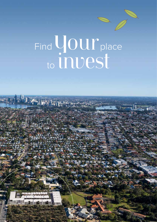## Find  $\bigcup_{n=1}^{\infty} \mathrm{OUT}_{\mathrm{place}}$ to INVeSt

**The Company's May**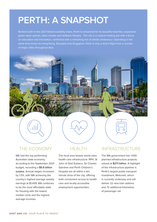## **PERTH: A SNAPSHOT**

Ranked sixth in the 2021 Global Livability Index, Perth is renowned for its beautiful beaches, expansive green open spaces, ideal climate and laidback lifestyle. The city is a cultural melting pot with a focus on education and innovation, combined with a refreshing mix of artistic endeavour. Operating in the same time zones as Hong Kong, Shanghai and Singapore, Perth is only a direct flight from a number of major cities throughout Asia.



WA had the top performing Australian state economy, according to the September 2021 budget, recording a **\$5.6 billion surplus**. Annual wages increased by 1.5%, with WA achieving the country's highest average weekly earnings at \$1,439. WA continues to be the most affordable state for housing with the lowest median rents and the highest average incomes.

#### **HFALTH**

The local area boasts world-class health care infrastructure. RPH, St John of God Subiaco, Sir Charles Gairdner and Perth Children's Hospital are all within a ten minute drive of the city, offering both convenient access to health care and locally accessible employment opportunities.

#### INFRASTRUCTURE

The WA government has 1,430 planned infrastructure projects, valued at **\$27.1 billion**. A highlight of the infrastructure pipeline is Perth's largest public transport investment, Metronet, which is currently underway and will deliver 22 new train stations and 72 additional kilometres of passenger rail.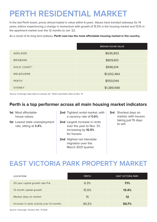## **PERTH RESIDENTIAL MARKET**

In the last Perth boom, prices almost tripled in value within 6 years. Values have trended sideways for 14 years, before experiencing a change in momentum with growth of 15.5% in the housing market and 13.1% in the apartment market over the 12 months to Jan '22.

As a result of its long term plateau, **Perth now has the most affordable housing market in the country.**

|                    | <b>MEDIAN HOUSE VALUE</b> |  |
|--------------------|---------------------------|--|
| <b>ADELAIDE</b>    | \$636,853                 |  |
| <b>BRISBANE</b>    | \$809,813                 |  |
| <b>GOLD COAST*</b> | \$946,614                 |  |
| <b>MELBOURNE</b>   | \$1,002,464               |  |
| <b>PERTH</b>       | \$550,044                 |  |
| SYDNEY             | \$1,389,948               |  |

Source: CoreLogic data refers to January 22. \*Gold Coast Data refers to Nov '21

#### **Perth is a top performer across all main housing market indicators**

| <b>1st</b> Most affordable |  |
|----------------------------|--|
| house values.              |  |

- **1st** Lowest state unemployment rate, sitting at **3.4%**.
- **2nd** Tightest rental market, with a vacancy rate of **0.6%**.
- **2nd** Largest increase in rents over the year to Nov '21, increasing by **16.9%** for houses.
- **2nd** Highest net interstate migration over the March 2021 quarter.
- **3rd** Shortest days on market, with houses taking just 15 days to sell.

### **EAST VICTORIA PARK PROPERTY MARKET**

| LOCATION                                  | <b>PERTH</b> | <b>EAST VICTORIA PARK</b> |
|-------------------------------------------|--------------|---------------------------|
| 20 year capital growth rate P.A.          | 6.3%         | 7.1%                      |
| 12 month capital growth                   | 15.5%        | 13.4%                     |
| Median days on market                     | 15           | 12                        |
| Increase in sales activity over 12 months | 40.2%        | 50.7%                     |

Source: CoreLogic, Houses, Nov '21 Data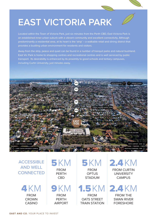## **EAST VICTORIA PARK**

Located within the Town of Victoria Park, just six minutes from the Perth CBD, East Victoria Park is an established inner-urban suburb with a vibrant community and excellent connectivity. Although predominantly a residential area, at its heart is the 'strip' – a walkable retail and dining district that provides a bustling urban environment for residents and visitors.

Away from the strip, peace and quiet can be found in a number of tranquil parks and natural bushland. East Vic Park is home to shopping centres and recreational centres and is well serviced by public transport. Its desirability is enhanced by its proximity to good schools and tertiary campuses, including Curtin University, just minutes away.



#### ACCESSIBLE AND WELL **CONNECTED**

FROM **CROWN** CASINO 4KM

#### FROM PERTH CBD 5KM

FROM PERTH AIRPORT 9KM

FROM **OPTUS STADIUM** 5KM

FROM OATS STREET TRAIN STATION

#### FROM CURTIN 2.4KM

**UNIVERSITY CAMPUS** 

FROM THE SWAN RIVER FORESHORE 1.5KM 2.4KM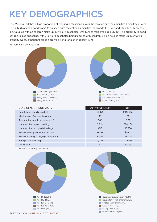## **KEY DEMOGRAPHICS**

East Victoria Park has a high proportion of working professionals, with the location and the amenities being key drivers. The suburb offers a good work/life balance, with recreational amenities, parklands, the river and city all easily accessible. Couples without children make up 45.4% of households, with 53% of residents aged 25-49. The proximity to good schools is also appealing, with 31.8% of households being families with children. Single houses make up over 65% of property types, although there is a growing trend for higher density living.

*Source: ABS Census 2016*



| <b>2016 CENSUS SUMMARY</b>        | <b>EAST VICTORIA PARK</b> | <b>PERTH</b> |
|-----------------------------------|---------------------------|--------------|
| Population - usually resident     | 10,071                    | 1,943,858    |
| Median age of residents (years)   | 33                        | 36           |
| Average household size (persons)  | 2.00                      | 3.00         |
| Number of occupied dwellings*     | 3,819                     | 690,280      |
| Number of unoccupied dwellings    | 457                       | 85,730       |
| Median weekly household income    | \$1,759                   | \$1,643      |
| Median monthly mortgage repayment | \$2,167                   | \$2,000      |
| Total private dwellings           | 4,276                     | 776,015      |
| Area (sqkm)                       | $\overline{4}$            | 6,416        |
|                                   |                           |              |

\* Excludes visitor only households





Group household (3.5%)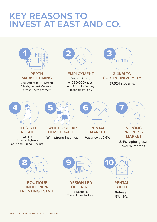## **KEY REASONS TO INVEST AT EAST AND CO.**



**5% - 6%**.